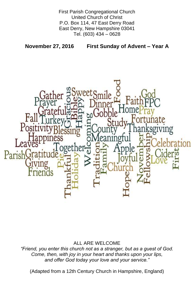First Parish Congregational Church United Church of Christ P.O. Box 114, 47 East Derry Road East Derry, New Hampshire 03041 Tel. (603) 434 – 0628

**November 27, 2016 First Sunday of Advent – Year A**



## ALL ARE WELCOME

*"Friend, you enter this church not as a stranger, but as a guest of God. Come, then, with joy in your heart and thanks upon your lips, and offer God today your love and your service."*

(Adapted from a 12th Century Church in Hampshire, England)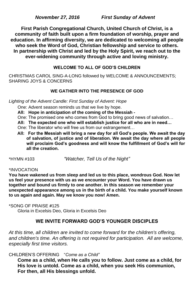*November 27, 2016 First Sunday of Advent*

**First Parish Congregational Church, United Church of Christ, is a community of faith built upon a firm foundation of worship, prayer and education. In affirming diversity, we are dedicated to welcoming all people who seek the Word of God, Christian fellowship and service to others. In partnership with Christ and led by the Holy Spirit, we reach out to the ever-widening community through active and loving ministry.**

## **WELCOME TO ALL OF GOD'S CHILDREN**

CHRISTMAS CAROL SING-A-LONG followed by WELCOME & ANNOUNCEMENTS; SHARING JOYS & CONCERNS

## **WE GATHER INTO THE PRESENCE OF GOD**

*Lighting of the Advent Candle: First Sunday of Advent: Hope*

One: Advent season reminds us that we live by hope.

**All: Hope in anticipation of the coming of the Messiah -**

One: The promised one who comes from God to bring good news of salvation…

**All: The expected one who will establish justice for all who are in need…**

One: The liberator who will free us from our estrangement…

 **All: For the Messiah will bring a new day for all God's people. We await the day of salvation, of justice and of liberation. We await the day where all people will proclaim God's goodness and will know the fulfillment of God's will for all the creation.**

\*HYMN #103 *"Watcher, Tell Us of the Night"*

## \*INVOCATION

**You have wakened us from sleep and led us to this place, wondrous God. Now let us feel your presence with us as we encounter your Word. You have drawn us together and bound us firmly to one another. In this season we remember your unexpected appearance among us in the birth of a child. You make yourself known to us again and again. May we know you now! Amen.**

\*SONG OF PRAISE **#**125 Gloria in Excelsis Deo, Gloria in Excelsis Deo

#### **WE INVITE FORWARD GOD'S YOUNGER DISCIPLES**

*At this time, all children are invited to come forward for the children's offering,*  and children's time. An offering is not required for participation. All are welcome, *especially first time visitors.*

CHILDREN'S OFFERING "*Come as a Child"*

**Come as a child, when He calls you to follow. Just come as a child, for His love is untold. Come as a child, when you seek His communion, For then, all His blessings unfold.**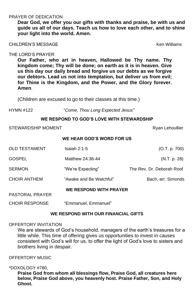## PRAYER OF DEDICATION

**Dear God, we offer you our gifts with thanks and praise, be with us and guide us all of our days. Teach us how to love each other, and to shine your light into the world. Amen.**

CHILDREN'S MESSAGE Ken Williams

THE LORD'S PRAYER

**Our Father, who art in heaven, Hallowed be Thy name. Thy kingdom come; Thy will be done; on earth as it is in heaven. Give us this day our daily bread and forgive us our debts as we forgive our debtors. Lead us not into temptation, but deliver us from evil; for Thine is the Kingdom, and the Power, and the Glory forever. Amen**.

(Children are excused to go to their classes at this time.)

HYMN #122 "*Come, Thou Long Expected Jesus"*

We are stewards of God's household, managers of the earth's treasures for a little while. This time of offering gives us opportunities to invest in causes consistent with God's will for us, to offer the light of God's love to sisters and brothers living in despair.

## **WE RESPOND TO GOD'S LOVE WITH STEWARDSHIP**

STEWARDSHIP MOMENT **Ryan Lehoullier** Ryan Lehoullier

# **WE HEAR GOD'S WORD FOR US**

| <b>OLD TESTAMENT</b>   | Isaiah 2:1-5                  | (O.T. p. 700)             |
|------------------------|-------------------------------|---------------------------|
| <b>GOSPEL</b>          | Matthew 24:36-44              | (N.T. p. 28)              |
| <b>SERMON</b>          | "We're Expecting"             | The Rev. Dr. Deborah Roof |
| <b>CHOIR ANTHEM</b>    | "Awake and Be Watchful"       | Bach, arr. Simonds        |
| <b>PASTORAL PRAYER</b> | <b>WE RESPOND WITH PRAYER</b> |                           |
| <b>CHOIR RESPONSE</b>  | "Emmanuel, Emmanuel"          |                           |

## **WE RESPOND WITH OUR FINANCIAL GIFTS**

## OFFERTORY INVITATION

OFFERTORY MUSIC

\*DOXOLOGY #780,

**Praise God from whom all blessings flow, Praise God, all creatures here below, Praise God above, you heavenly host. Praise Father, Son, and Holy Ghost.**